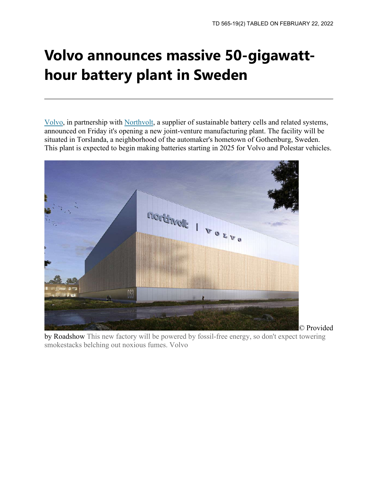## **Volvo announces massive 50-gigawatthour battery plant in Sweden**

[Volvo,](https://www.cnet.com/collections/volvo/#ftag=MSFf70f0e2) in partnership with [Northvolt,](https://www.cnet.com/news/volvo-northvolt-joint-venture-formed/#ftag=MSFf70f0e2) a supplier of sustainable battery cells and related systems, announced on Friday it's opening a new joint-venture manufacturing plant. The facility will be situated in Torslanda, a neighborhood of the automaker's hometown of Gothenburg, Sweden. This plant is expected to begin making batteries starting in 2025 for Volvo and Polestar vehicles.



by Roadshow This new factory will be powered by fossil-free energy, so don't expect towering smokestacks belching out noxious fumes. Volvo